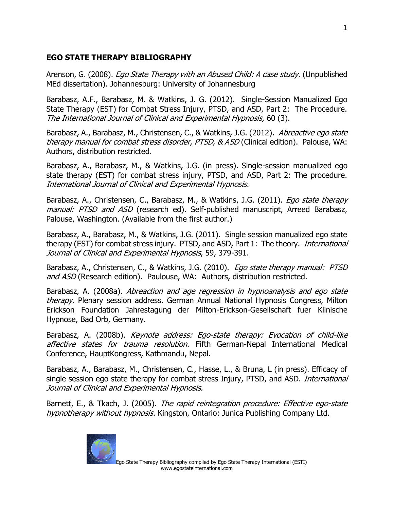## **EGO STATE THERAPY BIBLIOGRAPHY**

Arenson, G. (2008). *Ego State Therapy with an Abused Child: A case study.* (Unpublished MEd dissertation). Johannesburg: University of Johannesburg

Barabasz, A.F., Barabasz, M. & Watkins, J. G. (2012). Single-Session Manualized Ego State Therapy (EST) for Combat Stress Injury, PTSD, and ASD, Part 2: The Procedure. The International Journal of Clinical and Experimental Hypnosis, 60 (3).

Barabasz, A., Barabasz, M., Christensen, C., & Watkins, J.G. (2012). Abreactive ego state therapy manual for combat stress disorder, PTSD, & ASD (Clinical edition). Palouse, WA: Authors, distribution restricted.

Barabasz, A., Barabasz, M., & Watkins, J.G. (in press). Single-session manualized ego state therapy (EST) for combat stress injury, PTSD, and ASD, Part 2: The procedure. International Journal of Clinical and Experimental Hypnosis.

Barabasz, A., Christensen, C., Barabasz, M., & Watkins, J.G. (2011). *Ego state therapy* manual: PTSD and ASD (research ed). Self-published manuscript, Arreed Barabasz, Palouse, Washington. (Available from the first author.)

Barabasz, A., Barabasz, M., & Watkins, J.G. (2011). Single session manualized ego state therapy (EST) for combat stress injury. PTSD, and ASD, Part 1: The theory. *International* Journal of Clinical and Experimental Hypnosis, 59, 379-391.

Barabasz, A., Christensen, C., & Watkins, J.G. (2010). Ego state therapy manual: PTSD and ASD (Research edition). Paulouse, WA: Authors, distribution restricted.

Barabasz, A. (2008a). Abreaction and age regression in hypnoanalysis and ego state therapy. Plenary session address. German Annual National Hypnosis Congress, Milton Erickson Foundation Jahrestagung der Milton-Erickson-Gesellschaft fuer Klinische Hypnose, Bad Orb, Germany.

Barabasz, A. (2008b). Keynote address: Ego-state therapy: Evocation of child-like affective states for trauma resolution. Fifth German-Nepal International Medical Conference, HauptKongress, Kathmandu, Nepal.

Barabasz, A., Barabasz, M., Christensen, C., Hasse, L., & Bruna, L (in press). Efficacy of single session ego state therapy for combat stress Injury, PTSD, and ASD. *International* Journal of Clinical and Experimental Hypnosis.

Barnett, E., & Tkach, J. (2005). The rapid reintegration procedure: Effective ego-state hypnotherapy without hypnosis. Kingston, Ontario: Junica Publishing Company Ltd.

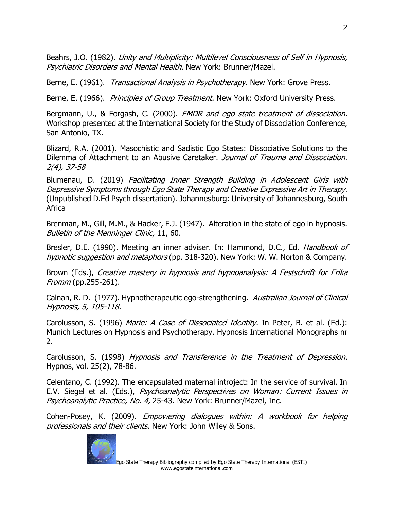Beahrs, J.O. (1982). Unity and Multiplicity: Multilevel Consciousness of Self in Hypnosis, Psychiatric Disorders and Mental Health. New York: Brunner/Mazel.

Berne, E. (1961). Transactional Analysis in Psychotherapy. New York: Grove Press.

Berne, E. (1966). *Principles of Group Treatment.* New York: Oxford University Press.

Bergmann, U., & Forgash, C. (2000). *EMDR and ego state treatment of dissociation.* Workshop presented at the International Society for the Study of Dissociation Conference, San Antonio, TX.

Blizard, R.A. (2001). Masochistic and Sadistic Ego States: Dissociative Solutions to the Dilemma of Attachment to an Abusive Caretaker. Journal of Trauma and Dissociation. 2(4), 37-58

Blumenau, D. (2019) Facilitating Inner Strength Building in Adolescent Girls with Depressive Symptoms through Ego State Therapy and Creative Expressive Art in Therapy. (Unpublished D.Ed Psych dissertation). Johannesburg: University of Johannesburg, South Africa

Brenman, M., Gill, M.M., & Hacker, F.J. (1947). Alteration in the state of ego in hypnosis. Bulletin of the Menninger Clinic, 11, 60.

Bresler, D.E. (1990). Meeting an inner adviser. In: Hammond, D.C., Ed. Handbook of hypnotic suggestion and metaphors (pp. 318-320). New York: W. W. Norton & Company.

Brown (Eds.), Creative mastery in hypnosis and hypnoanalysis: A Festschrift for Erika Fromm (pp.255-261).

Calnan, R. D. (1977). Hypnotherapeutic ego-strengthening. Australian Journal of Clinical Hypnosis, 5, 105-118.

Carolusson, S. (1996) Marie: A Case of Dissociated Identity. In Peter, B. et al. (Ed.): Munich Lectures on Hypnosis and Psychotherapy. Hypnosis International Monographs nr 2.

Carolusson, S. (1998) Hypnosis and Transference in the Treatment of Depression. Hypnos, vol. 25(2), 78-86.

Celentano, C. (1992). The encapsulated maternal introject: In the service of survival. In E.V. Siegel et al. (Eds.), Psychoanalytic Perspectives on Woman: Current Issues in Psychoanalytic Practice, No. 4, 25-43. New York: Brunner/Mazel, Inc.

Cohen-Posey, K. (2009). Empowering dialogues within: A workbook for helping professionals and their clients. New York: John Wiley & Sons.

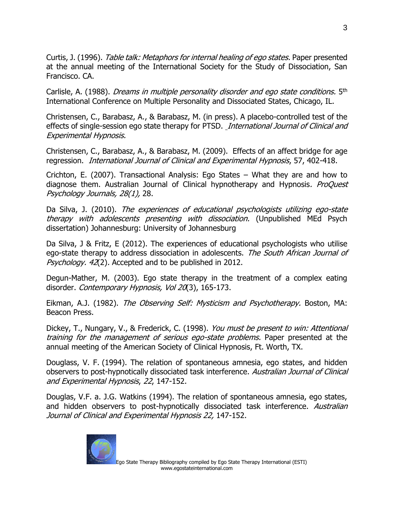Curtis, J. (1996). *Table talk: Metaphors for internal healing of ego states.* Paper presented at the annual meeting of the International Society for the Study of Dissociation, San Francisco. CA.

Carlisle, A. (1988). *Dreams in multiple personality disorder and ego state conditions.* 5<sup>th</sup> International Conference on Multiple Personality and Dissociated States, Chicago, IL.

Christensen, C., Barabasz, A., & Barabasz, M. (in press). A placebo-controlled test of the effects of single-session ego state therapy for PTSD. *International Journal of Clinical and* Experimental Hypnosis.

Christensen, C., Barabasz, A., & Barabasz, M. (2009). Effects of an affect bridge for age regression. International Journal of Clinical and Experimental Hypnosis, 57, 402-418.

Crichton, E. (2007). Transactional Analysis: Ego States – What they are and how to diagnose them. Australian Journal of Clinical hypnotherapy and Hypnosis. ProQuest Psychology Journals, 28(1), 28.

Da Silva, J. (2010). The experiences of educational psychologists utilizing ego-state therapy with adolescents presenting with dissociation. (Unpublished MEd Psych dissertation) Johannesburg: University of Johannesburg

Da Silva, J & Fritz, E (2012). The experiences of educational psychologists who utilise ego-state therapy to address dissociation in adolescents. The South African Journal of Psychology. 42(2). Accepted and to be published in 2012.

Degun-Mather, M. (2003). Ego state therapy in the treatment of a complex eating disorder. Contemporary Hypnosis, Vol 20(3), 165-173.

Eikman, A.J. (1982). The Observing Self: Mysticism and Psychotherapy. Boston, MA: Beacon Press.

Dickey, T., Nungary, V., & Frederick, C. (1998). You must be present to win: Attentional training for the management of serious ego-state problems. Paper presented at the annual meeting of the American Society of Clinical Hypnosis, Ft. Worth, TX.

Douglass, V. F. (1994). The relation of spontaneous amnesia, ego states, and hidden observers to post-hypnotically dissociated task interference. Australian Journal of Clinical and Experimental Hypnosis, 22, 147-152.

Douglas, V.F. a. J.G. Watkins (1994). The relation of spontaneous amnesia, ego states, and hidden observers to post-hypnotically dissociated task interference. Australian Journal of Clinical and Experimental Hypnosis 22, 147-152.

www.egostateinternational.com

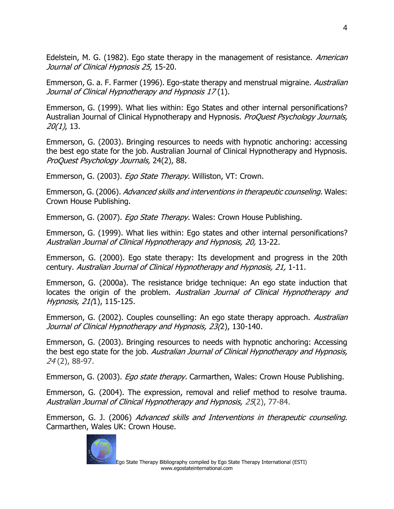Edelstein, M. G. (1982). Ego state therapy in the management of resistance. *American* Journal of Clinical Hypnosis 25, 15-20.

Emmerson, G. a. F. Farmer (1996). Ego-state therapy and menstrual migraine. Australian Journal of Clinical Hypnotherapy and Hypnosis 17 (1).

Emmerson, G. (1999). What lies within: Ego States and other internal personifications? Australian Journal of Clinical Hypnotherapy and Hypnosis. ProQuest Psychology Journals, 20(1), 13.

Emmerson, G. (2003). Bringing resources to needs with hypnotic anchoring: accessing the best ego state for the job. Australian Journal of Clinical Hypnotherapy and Hypnosis. ProQuest Psychology Journals, 24(2), 88.

Emmerson, G. (2003). *Ego State Therapy.* Williston, VT: Crown.

Emmerson, G. (2006). Advanced skills and interventions in therapeutic counseling. Wales: Crown House Publishing.

Emmerson, G. (2007). *Ego State Therapy.* Wales: Crown House Publishing.

Emmerson, G. (1999). What lies within: Ego states and other internal personifications? Australian Journal of Clinical Hypnotherapy and Hypnosis, 20, 13-22.

Emmerson, G. (2000). Ego state therapy: Its development and progress in the 20th century. Australian Journal of Clinical Hypnotherapy and Hypnosis, 21, 1-11.

Emmerson, G. (2000a). The resistance bridge technique: An ego state induction that locates the origin of the problem. Australian Journal of Clinical Hypnotherapy and Hypnosis, 21(1), 115-125.

Emmerson, G. (2002). Couples counselling: An ego state therapy approach. Australian Journal of Clinical Hypnotherapy and Hypnosis, 23(2), 130-140.

Emmerson, G. (2003). Bringing resources to needs with hypnotic anchoring: Accessing the best ego state for the job. Australian Journal of Clinical Hypnotherapy and Hypnosis, 24 (2), 88-97.

Emmerson, G. (2003). Ego state therapy. Carmarthen, Wales: Crown House Publishing.

Emmerson, G. (2004). The expression, removal and relief method to resolve trauma. Australian Journal of Clinical Hypnotherapy and Hypnosis, 25(2), 77-84.

Emmerson, G. J. (2006) Advanced skills and Interventions in therapeutic counseling. Carmarthen, Wales UK: Crown House.

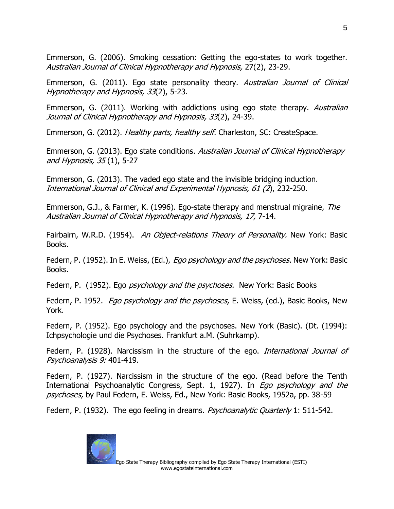Emmerson, G. (2006). Smoking cessation: Getting the ego-states to work together. Australian Journal of Clinical Hypnotherapy and Hypnosis, 27(2), 23-29.

Emmerson, G. (2011). Ego state personality theory. Australian Journal of Clinical Hypnotherapy and Hypnosis, 33(2), 5-23.

Emmerson, G. (2011). Working with addictions using ego state therapy. Australian Journal of Clinical Hypnotherapy and Hypnosis, 33(2), 24-39.

Emmerson, G. (2012). *Healthy parts, healthy self.* Charleston, SC: CreateSpace.

Emmerson, G. (2013). Ego state conditions. Australian Journal of Clinical Hypnotherapy and Hypnosis, 35 (1), 5-27

Emmerson, G. (2013). The vaded ego state and the invisible bridging induction. International Journal of Clinical and Experimental Hypnosis, 61 (2), 232-250.

Emmerson, G.J., & Farmer, K. (1996). Ego-state therapy and menstrual migraine, The Australian Journal of Clinical Hypnotherapy and Hypnosis, 17, 7-14.

Fairbairn, W.R.D. (1954). An Object-relations Theory of Personality. New York: Basic Books.

Federn, P. (1952). In E. Weiss, (Ed.), *Ego psychology and the psychoses*. New York: Basic Books.

Federn, P. (1952). Ego *psychology and the psychoses.* New York: Basic Books

Federn, P. 1952. *Ego psychology and the psychoses*, E. Weiss, (ed.), Basic Books, New York.

Federn, P. (1952). Ego psychology and the psychoses. New York (Basic). (Dt. (1994): Ichpsychologie und die Psychoses. Frankfurt a.M. (Suhrkamp).

Federn, P. (1928). Narcissism in the structure of the ego. *International Journal of* Psychoanalysis 9: 401-419.

Federn, P. (1927). Narcissism in the structure of the ego. (Read before the Tenth International Psychoanalytic Congress, Sept. 1, 1927). In *Ego psychology and the* psychoses, by Paul Federn, E. Weiss, Ed., New York: Basic Books, 1952a, pp. 38-59

Federn, P. (1932). The ego feeling in dreams. *Psychoanalytic Quarterly* 1: 511-542.

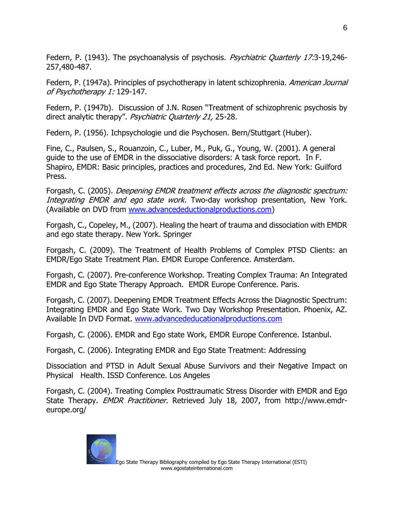Federn, P. (1943). The psychoanalysis of psychosis. Psychiatric Quarterly 17:3-19,246-257,480-487.

Federn, P. (1947a). Principles of psychotherapy in latent schizophrenia. American Journal of Psychotherapy 1: 129-147.

Federn, P. (1947b). Discussion of J.N. Rosen "Treatment of schizophrenic psychosis by direct analytic therapy". Psychiatric Quarterly 21, 25-28.

Federn, P. (1956). Ichpsychologie und die Psychosen. Bern/Stuttgart (Huber).

Fine, C., Paulsen, S., Rouanzoin, C., Luber, M., Puk, G., Young, W. (2001). A general guide to the use of EMDR in the dissociative disorders: A task force report. In F. Shapiro, EMDR: Basic principles, practices and procedures, 2nd Ed. New York: Guilford Press.

Forgash, C. (2005). Deepening EMDR treatment effects across the diagnostic spectrum: Integrating EMDR and ego state work. Two-day workshop presentation, New York. (Available on DVD from [www.advancedeductionalproductions.com\)](http://www.advancedeductionalproductions.com/)

Forgash, C., Copeley, M., (2007). Healing the heart of trauma and dissociation with EMDR and ego state therapy. New York. Springer

Forgash, C. (2009). The Treatment of Health Problems of Complex PTSD Clients: an EMDR/Ego State Treatment Plan. EMDR Europe Conference. Amsterdam.

Forgash, C. (2007). Pre-conference Workshop. Treating Complex Trauma: An Integrated EMDR and Ego State Therapy Approach. EMDR Europe Conference. Paris.

Forgash, C. (2007). Deepening EMDR Treatment Effects Across the Diagnostic Spectrum: Integrating EMDR and Ego State Work. Two Day Workshop Presentation. Phoenix, AZ. Available In DVD Format. [www.advancededucationalproductions.com](http://www.advancededucationalproductions.com/)

Forgash, C. (2006). EMDR and Ego state Work, EMDR Europe Conference. Istanbul.

Forgash, C. (2006). Integrating EMDR and Ego State Treatment: Addressing

Dissociation and PTSD in Adult Sexual Abuse Survivors and their Negative Impact on Physical Health. ISSD Conference. Los Angeles

Forgash, C. (2004). Treating Complex Posttraumatic Stress Disorder with EMDR and Ego State Therapy. EMDR Practitioner. Retrieved July 18, 2007, from [http://www.emdr](http://www.emdr-europe.org/)[europe.org/](http://www.emdr-europe.org/)

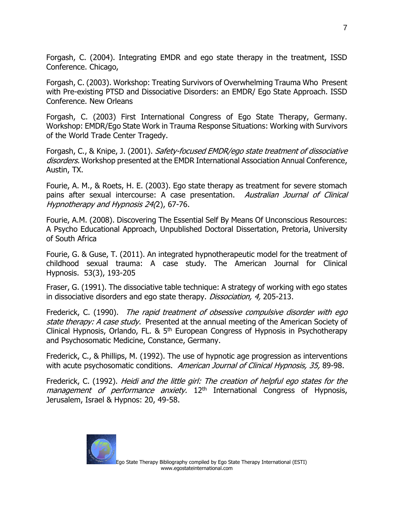Forgash, C. (2004). Integrating EMDR and ego state therapy in the treatment, ISSD Conference. Chicago,

Forgash, C. (2003). Workshop: Treating Survivors of Overwhelming Trauma Who Present with Pre-existing PTSD and Dissociative Disorders: an EMDR/ Ego State Approach. ISSD Conference. New Orleans

Forgash, C. (2003) First International Congress of Ego State Therapy, Germany. Workshop: EMDR/Ego State Work in Trauma Response Situations: Working with Survivors of the World Trade Center Tragedy.

Forgash, C., & Knipe, J. (2001). Safety-focused EMDR/ego state treatment of dissociative disorders. Workshop presented at the EMDR International Association Annual Conference, Austin, TX.

Fourie, A. M., & Roets, H. E. (2003). Ego state therapy as treatment for severe stomach pains after sexual intercourse: A case presentation. Australian Journal of Clinical Hypnotherapy and Hypnosis 24(2), 67-76.

Fourie, A.M. (2008). Discovering The Essential Self By Means Of Unconscious Resources: A Psycho Educational Approach, Unpublished Doctoral Dissertation, Pretoria, University of South Africa

Fourie, G. & Guse, T. (2011). An integrated hypnotherapeutic model for the treatment of childhood sexual trauma: A case study. The American Journal for Clinical Hypnosis. 53(3), 193-205

Fraser, G. (1991). The dissociative table technique: A strategy of working with ego states in dissociative disorders and ego state therapy. Dissociation, 4, 205-213.

Frederick, C. (1990). The rapid treatment of obsessive compulsive disorder with ego state therapy: A case study. Presented at the annual meeting of the American Society of Clinical Hypnosis, Orlando, FL. &  $5<sup>th</sup>$  European Congress of Hypnosis in Psychotherapy and Psychosomatic Medicine, Constance, Germany.

Frederick, C., & Phillips, M. (1992). The use of hypnotic age progression as interventions with acute psychosomatic conditions. American Journal of Clinical Hypnosis, 35, 89-98.

Frederick, C. (1992). Heidi and the little girl: The creation of helpful ego states for the management of performance anxiety. 12<sup>th</sup> International Congress of Hypnosis, Jerusalem, Israel & Hypnos: 20, 49-58.

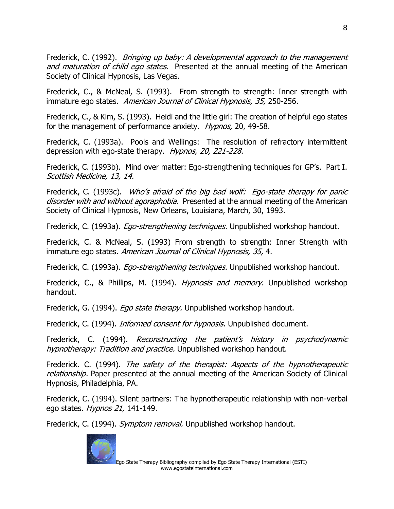Frederick, C. (1992). *Bringing up baby: A developmental approach to the management* and maturation of child ego states. Presented at the annual meeting of the American Society of Clinical Hypnosis, Las Vegas.

Frederick, C., & McNeal, S. (1993). From strength to strength: Inner strength with immature ego states. American Journal of Clinical Hypnosis, 35, 250-256.

Frederick, C., & Kim, S. (1993). Heidi and the little girl: The creation of helpful ego states for the management of performance anxiety. *Hypnos*, 20, 49-58.

Frederick, C. (1993a). Pools and Wellings: The resolution of refractory intermittent depression with ego-state therapy. Hypnos, 20, 221-228.

Frederick, C. (1993b). Mind over matter: Ego-strengthening techniques for GP's. Part I. Scottish Medicine, 13, 14.

Frederick, C. (1993c). Who's afraid of the big bad wolf: Ego-state therapy for panic disorder with and without agoraphobia. Presented at the annual meeting of the American Society of Clinical Hypnosis, New Orleans, Louisiana, March, 30, 1993.

Frederick, C. (1993a). *Ego-strengthening techniques*. Unpublished workshop handout.

Frederick, C. & McNeal, S. (1993) From strength to strength: Inner Strength with immature ego states. American Journal of Clinical Hypnosis, 35, 4.

Frederick, C. (1993a). *Ego-strengthening techniques*. Unpublished workshop handout.

Frederick, C., & Phillips, M. (1994). *Hypnosis and memory.* Unpublished workshop handout.

Frederick, G. (1994). *Ego state therapy*. Unpublished workshop handout.

Frederick, C. (1994). *Informed consent for hypnosis*. Unpublished document.

Frederick, C. (1994). Reconstructing the patient's history in psychodynamic hypnotherapy: Tradition and practice. Unpublished workshop handout.

Frederick. C. (1994). The safety of the therapist: Aspects of the hypnotherapeutic relationship. Paper presented at the annual meeting of the American Society of Clinical Hypnosis, Philadelphia, PA.

Frederick, C. (1994). Silent partners: The hypnotherapeutic relationship with non-verbal ego states. Hypnos 21, 141-149.

Frederick, C. (1994). Symptom removal. Unpublished workshop handout.

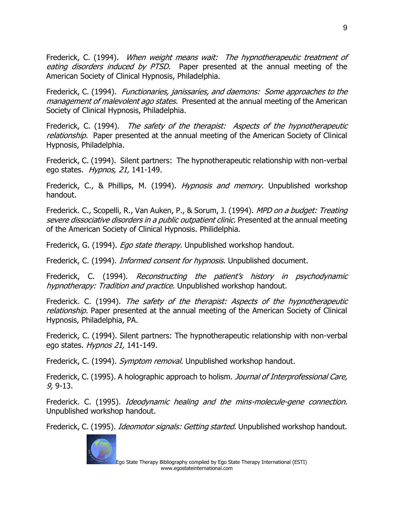Frederick, C. (1994). When weight means wait: The hypnotherapeutic treatment of eating disorders induced by PTSD. Paper presented at the annual meeting of the American Society of Clinical Hypnosis, Philadelphia.

Frederick, C. (1994). Functionaries, janissaries, and daemons: Some approaches to the management of malevolent ago states. Presented at the annual meeting of the American Society of Clinical Hypnosis, Philadelphia.

Frederick, C. (1994). The safety of the therapist: Aspects of the hypnotherapeutic relationship. Paper presented at the annual meeting of the American Society of Clinical Hypnosis, Philadelphia.

Frederick, C. (1994). Silent partners: The hypnotherapeutic relationship with non-verbal ego states. Hypnos, 21, 141-149.

Frederick, C., & Phillips, M. (1994). *Hypnosis and memory.* Unpublished workshop handout.

Frederick. C., Scopelli, R., Van Auken, P., & Sorum, J. (1994). MPD on a budget: Treating severe dissociative disorders in a public outpatient clinic. Presented at the annual meeting of the American Society of Clinical Hypnosis. Philidelphia.

Frederick, G. (1994). *Ego state therapy*. Unpublished workshop handout.

Frederick, C. (1994). *Informed consent for hypnosis.* Unpublished document.

Frederick, C. (1994). Reconstructing the patient's history in psychodynamic hypnotherapy: Tradition and practice. Unpublished workshop handout.

Frederick. C. (1994). The safety of the therapist: Aspects of the hypnotherapeutic relationship. Paper presented at the annual meeting of the American Society of Clinical Hypnosis, Philadelphia, PA.

Frederick, C. (1994). Silent partners: The hypnotherapeutic relationship with non-verbal ego states. Hypnos 21, 141-149.

Frederick, C. (1994). Symptom removal. Unpublished workshop handout.

Frederick, C. (1995). A holographic approach to holism. *Journal of Interprofessional Care,* 9, 9-13.

Frederick. C. (1995). *Ideodynamic healing and the mins-molecule-gene connection.* Unpublished workshop handout.

Frederick, C. (1995). *Ideomotor signals: Getting started.* Unpublished workshop handout.

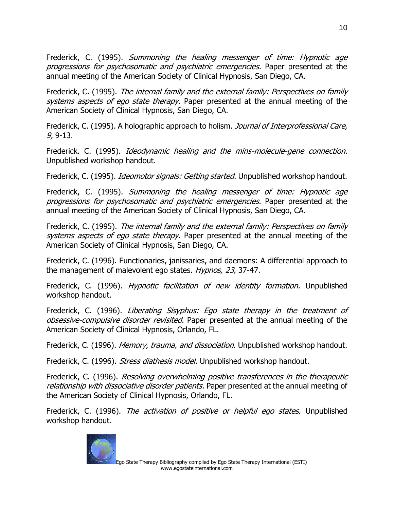Frederick, C. (1995). Summoning the healing messenger of time: Hypnotic age progressions for psychosomatic and psychiatric emergencies. Paper presented at the annual meeting of the American Society of Clinical Hypnosis, San Diego, CA.

Frederick, C. (1995). The internal family and the external family: Perspectives on family systems aspects of ego state therapy. Paper presented at the annual meeting of the American Society of Clinical Hypnosis, San Diego, CA.

Frederick, C. (1995). A holographic approach to holism. *Journal of Interprofessional Care,* 9, 9-13.

Frederick. C. (1995). Ideodynamic healing and the mins-molecule-gene connection. Unpublished workshop handout.

Frederick, C. (1995). *Ideomotor signals: Getting started.* Unpublished workshop handout.

Frederick, C. (1995). Summoning the healing messenger of time: Hypnotic age progressions for psychosomatic and psychiatric emergencies. Paper presented at the annual meeting of the American Society of Clinical Hypnosis, San Diego, CA.

Frederick, C. (1995). The internal family and the external family: Perspectives on family systems aspects of ego state therapy. Paper presented at the annual meeting of the American Society of Clinical Hypnosis, San Diego, CA.

Frederick, C. (1996). Functionaries, janissaries, and daemons: A differential approach to the management of malevolent ego states. *Hypnos, 23,* 37-47.

Frederick, C. (1996). Hypnotic facilitation of new identity formation. Unpublished workshop handout.

Frederick, C. (1996). Liberating Sisyphus: Ego state therapy in the treatment of obsessive-compulsive disorder revisited. Paper presented at the annual meeting of the American Society of Clinical Hypnosis, Orlando, FL.

Frederick, C. (1996). *Memory, trauma, and dissociation.* Unpublished workshop handout.

Frederick, C. (1996). *Stress diathesis model*. Unpublished workshop handout.

Frederick, C. (1996). Resolving overwhelming positive transferences in the therapeutic relationship with dissociative disorder patients. Paper presented at the annual meeting of the American Society of Clinical Hypnosis, Orlando, FL.

Frederick, C. (1996). The activation of positive or helpful ego states. Unpublished workshop handout.

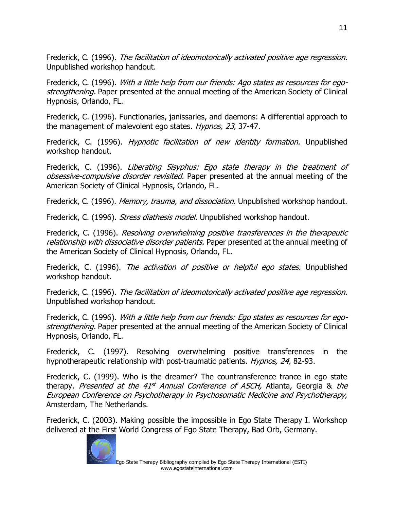Frederick, C. (1996). The facilitation of ideomotorically activated positive age regression. Unpublished workshop handout.

Frederick, C. (1996). With a little help from our friends: Ago states as resources for egostrengthening. Paper presented at the annual meeting of the American Society of Clinical Hypnosis, Orlando, FL.

Frederick, C. (1996). Functionaries, janissaries, and daemons: A differential approach to the management of malevolent ego states. *Hypnos, 23,* 37-47.

Frederick, C. (1996). *Hypnotic facilitation of new identity formation*. Unpublished workshop handout.

Frederick, C. (1996). Liberating Sisyphus: Ego state therapy in the treatment of obsessive-compulsive disorder revisited. Paper presented at the annual meeting of the American Society of Clinical Hypnosis, Orlando, FL.

Frederick, C. (1996). Memory, trauma, and dissociation. Unpublished workshop handout.

Frederick, C. (1996). *Stress diathesis model*. Unpublished workshop handout.

Frederick, C. (1996). Resolving overwhelming positive transferences in the therapeutic relationship with dissociative disorder patients. Paper presented at the annual meeting of the American Society of Clinical Hypnosis, Orlando, FL.

Frederick, C. (1996). The activation of positive or helpful ego states. Unpublished workshop handout.

Frederick, C. (1996). The facilitation of ideomotorically activated positive age regression. Unpublished workshop handout.

Frederick, C. (1996). With a little help from our friends: Ego states as resources for egostrengthening. Paper presented at the annual meeting of the American Society of Clinical Hypnosis, Orlando, FL.

Frederick, C. (1997). Resolving overwhelming positive transferences in the hypnotherapeutic relationship with post-traumatic patients. *Hypnos, 24,* 82-93.

Frederick, C. (1999). Who is the dreamer? The countransference trance in ego state therapy. *Presented at the 41<sup>st</sup> Annual Conference of ASCH,* Atlanta, Georgia & *the* European Conference on Psychotherapy in Psychosomatic Medicine and Psychotherapy, Amsterdam, The Netherlands.

Frederick, C. (2003). Making possible the impossible in Ego State Therapy I. Workshop delivered at the First World Congress of Ego State Therapy, Bad Orb, Germany.

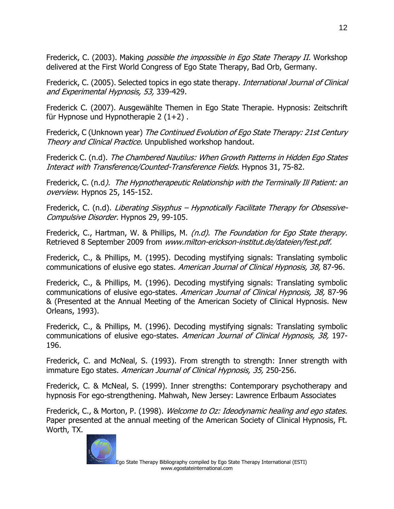Frederick, C. (2003). Making *possible the impossible in Ego State Therapy II.* Workshop delivered at the First World Congress of Ego State Therapy, Bad Orb, Germany.

Frederick, C. (2005). Selected topics in ego state therapy. *International Journal of Clinical* and Experimental Hypnosis, 53, 339-429.

Frederick C. (2007). Ausgewählte Themen in Ego State Therapie. Hypnosis: Zeitschrift für Hypnose und Hypnotherapie  $2(1+2)$ .

Frederick, C (Unknown year) The Continued Evolution of Ego State Therapy: 21st Century Theory and Clinical Practice. Unpublished workshop handout.

Frederick C. (n.d). The Chambered Nautilus: When Growth Patterns in Hidden Ego States Interact with Transference/Counted-Transference Fields. Hypnos 31, 75-82.

Frederick, C. (n.d*). The Hypnotherapeutic Relationship with the Terminally Ill Patient: an* overview. Hypnos 25, 145-152.

Frederick, C. (n.d). Liberating Sisyphus – Hypnotically Facilitate Therapy for Obsessive-Compulsive Disorder. Hypnos 29, 99-105.

Frederick, C., Hartman, W. & Phillips, M. (n.d). The Foundation for Ego State therapy. Retrieved 8 September 2009 from [www.milton-erickson-institut.de/dateien/fest.pdf.](file:///C:/Piet/Documents/ESTI%201/ESTI/Documents%20for%20Maggie%20Phillips/www.milton-erickson-institut.de/dateien/fest.pdf)

Frederick, C., & Phillips, M. (1995). Decoding mystifying signals: Translating symbolic communications of elusive ego states. American Journal of Clinical Hypnosis, 38, 87-96.

Frederick, C., & Phillips, M. (1996). Decoding mystifying signals: Translating symbolic communications of elusive ego-states. American Journal of Clinical Hypnosis, 38, 87-96 & (Presented at the Annual Meeting of the American Society of Clinical Hypnosis. New Orleans, 1993).

Frederick, C., & Phillips, M. (1996). Decoding mystifying signals: Translating symbolic communications of elusive ego-states. American Journal of Clinical Hypnosis, 38, 197- 196.

Frederick, C. and McNeal, S. (1993). From strength to strength: Inner strength with immature Ego states. American Journal of Clinical Hypnosis, 35, 250-256.

Frederick, C. & McNeal, S. (1999). Inner strengths: Contemporary psychotherapy and hypnosis For ego-strengthening. Mahwah, New Jersey: Lawrence Erlbaum Associates

Frederick, C., & Morton, P. (1998). Welcome to Oz: Ideodynamic healing and ego states. Paper presented at the annual meeting of the American Society of Clinical Hypnosis, Ft. Worth, TX.

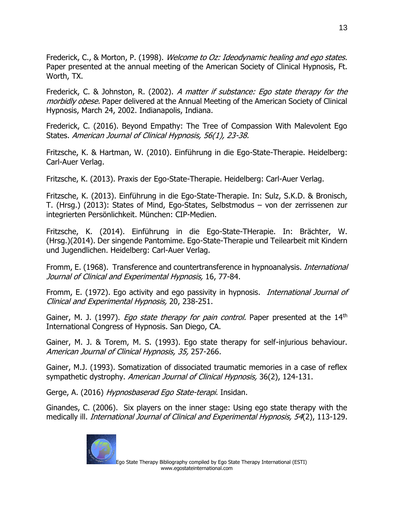Frederick, C., & Morton, P. (1998). Welcome to Oz: Ideodynamic healing and ego states. Paper presented at the annual meeting of the American Society of Clinical Hypnosis, Ft. Worth, TX.

Frederick, C. & Johnston, R. (2002). A matter if substance: Ego state therapy for the morbidly obese. Paper delivered at the Annual Meeting of the American Society of Clinical Hypnosis, March 24, 2002. Indianapolis, Indiana.

Frederick, C. (2016). Beyond Empathy: The Tree of Compassion With Malevolent Ego States. American Journal of Clinical Hypnosis, 56(1), 23-38.

Fritzsche, K. & Hartman, W. (2010). Einführung in die Ego-State-Therapie. Heidelberg: Carl-Auer Verlag.

Fritzsche, K. (2013). Praxis der Ego-State-Therapie. Heidelberg: Carl-Auer Verlag.

Fritzsche, K. (2013). Einführung in die Ego-State-Therapie. In: Sulz, S.K.D. & Bronisch, T. (Hrsg.) (2013): States of Mind, Ego-States, Selbstmodus – von der zerrissenen zur integrierten Persönlichkeit. München: CIP-Medien.

Fritzsche, K. (2014). Einführung in die Ego-State-THerapie. In: Brächter, W. (Hrsg.)(2014). Der singende Pantomime. Ego-State-Therapie und Teilearbeit mit Kindern und Jugendlichen. Heidelberg: Carl-Auer Verlag.

Fromm, E. (1968). Transference and countertransference in hypnoanalysis. *International* Journal of Clinical and Experimental Hypnosis, 16, 77-84.

Fromm, E. (1972). Ego activity and ego passivity in hypnosis. *International Journal of* Clinical and Experimental Hypnosis, 20, 238-251.

Gainer, M. J. (1997). *Ego state therapy for pain control.* Paper presented at the 14<sup>th</sup> International Congress of Hypnosis. San Diego, CA.

Gainer, M. J. & Torem, M. S. (1993). Ego state therapy for self-injurious behaviour. American Journal of Clinical Hypnosis, 35, 257-266.

Gainer, M.J. (1993). Somatization of dissociated traumatic memories in a case of reflex sympathetic dystrophy. American Journal of Clinical Hypnosis, 36(2), 124-131.

Gerge, A. (2016) Hypnosbaserad Ego State-terapi. Insidan.

Ginandes, C. (2006). Six players on the inner stage: Using ego state therapy with the medically ill. International Journal of Clinical and Experimental Hypnosis, 54(2), 113-129.

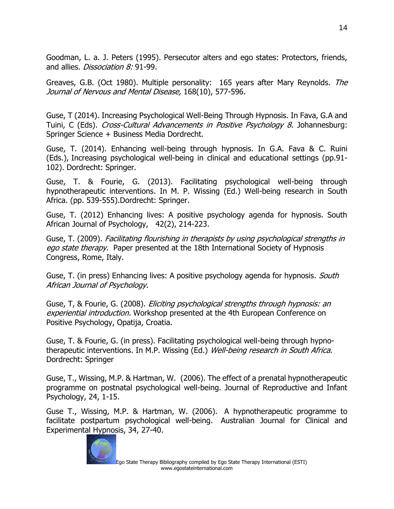Goodman, L. a. J. Peters (1995). Persecutor alters and ego states: Protectors, friends, and allies. *Dissociation 8:* 91-99.

Greaves, G.B. (Oct 1980). Multiple personality: 165 years after Mary Reynolds. The Journal of Nervous and Mental Disease, 168(10), 577-596.

Guse, T (2014). Increasing Psychological Well-Being Through Hypnosis. In Fava, G.A and Tuini, C (Eds). Cross-Cultural Advancements in Positive Psychology 8. Johannesburg: Springer Science + Business Media Dordrecht.

Guse, T. (2014). Enhancing well-being through hypnosis. In G.A. Fava & C. Ruini (Eds.), Increasing psychological well-being in clinical and educational settings (pp.91- 102). Dordrecht: Springer.

Guse, T. & Fourie, G. (2013). Facilitating psychological well-being through hypnotherapeutic interventions. In M. P. Wissing (Ed.) Well-being research in South Africa. (pp. 539-555).Dordrecht: Springer.

Guse, T. (2012) Enhancing lives: A positive psychology agenda for hypnosis. South African Journal of Psychology, 42(2), 214-223.

Guse, T. (2009). Facilitating flourishing in therapists by using psychological strengths in ego state therapy. Paper presented at the 18th International Society of Hypnosis Congress, Rome, Italy.

Guse, T. (in press) Enhancing lives: A positive psychology agenda for hypnosis. South African Journal of Psychology.

Guse, T, & Fourie, G. (2008). Eliciting psychological strengths through hypnosis: an experiential introduction. Workshop presented at the 4th European Conference on Positive Psychology, Opatija, Croatia.

Guse, T. & Fourie, G. (in press). Facilitating psychological well-being through hypnotherapeutic interventions. In M.P. Wissing (Ed.) Well-being research in South Africa. Dordrecht: Springer

Guse, T., Wissing, M.P. & Hartman, W. (2006). The effect of a prenatal hypnotherapeutic programme on postnatal psychological well-being. Journal of Reproductive and Infant Psychology, 24, 1-15.

Guse T., Wissing, M.P. & Hartman, W. (2006). A hypnotherapeutic programme to facilitate postpartum psychological well-being. Australian Journal for Clinical and Experimental Hypnosis, 34, 27-40.

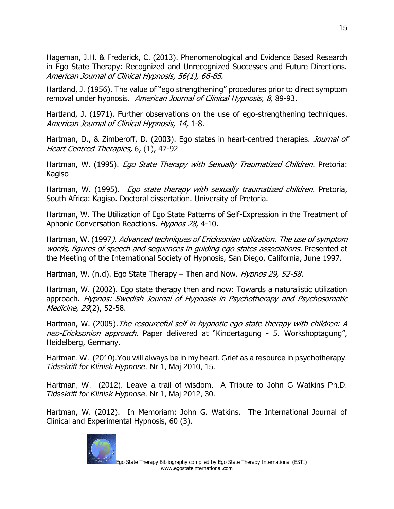Hageman, J.H. & Frederick, C. (2013). Phenomenological and Evidence Based Research in Ego State Therapy: Recognized and Unrecognized Successes and Future Directions. American Journal of Clinical Hypnosis, 56(1), 66-85.

Hartland, J. (1956). The value of "ego strengthening" procedures prior to direct symptom removal under hypnosis. American Journal of Clinical Hypnosis, 8, 89-93.

Hartland, J. (1971). Further observations on the use of ego-strengthening techniques. American Journal of Clinical Hypnosis, 14, 1-8.

Hartman, D., & Zimberoff, D. (2003). Ego states in heart-centred therapies. Journal of Heart Centred Therapies, 6, (1), 47-92

Hartman, W. (1995). *Ego State Therapy with Sexually Traumatized Children.* Pretoria: Kagiso

Hartman, W. (1995). Ego state therapy with sexually traumatized children. Pretoria, South Africa: Kagiso. Doctoral dissertation. University of Pretoria.

Hartman, W. The Utilization of Ego State Patterns of Self-Expression in the Treatment of Aphonic Conversation Reactions. Hypnos 28, 4-10.

Hartman, W. (1997). Advanced techniques of Ericksonian utilization. The use of symptom words, figures of speech and sequences in quiding ego states associations. Presented at the Meeting of the International Society of Hypnosis, San Diego, California, June 1997.

Hartman, W. (n.d). Ego State Therapy – Then and Now. Hypnos 29, 52-58.

Hartman, W. (2002). Ego state therapy then and now: Towards a naturalistic utilization approach. Hypnos: Swedish Journal of Hypnosis in Psychotherapy and Psychosomatic Medicine, 29(2), 52-58.

Hartman, W. (2005). The resourceful self in hypnotic ego state therapy with children: A neo-Ericksonion approach. Paper delivered at "Kindertagung - 5. Workshoptagung", Heidelberg, Germany.

Hartman, W. (2010).You will always be in my heart. Grief as a resource in psychotherapy. *Tidsskrift for Klinisk Hypnose,* Nr 1, Maj 2010, 15.

Hartman, W. (2012). Leave a trail of wisdom. A Tribute to John G Watkins Ph.D. *Tidsskrift for Klinisk Hypnose,* Nr 1, Maj 2012, 30.

Hartman, W. (2012). In Memoriam: John G. Watkins. The International Journal of Clinical and Experimental Hypnosis, 60 (3).

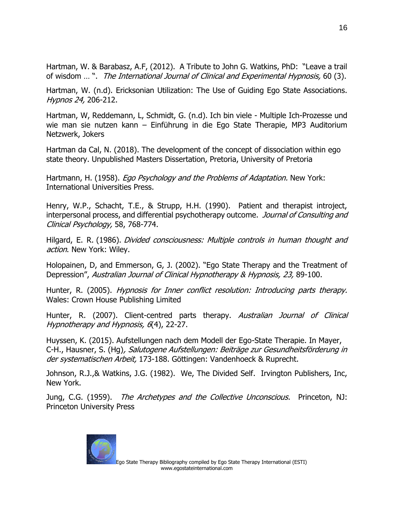Hartman, W. & Barabasz, A.F, (2012). A Tribute to John G. Watkins, PhD: "Leave a trail of wisdom … ". The International Journal of Clinical and Experimental Hypnosis, 60 (3).

Hartman, W. (n.d). Ericksonian Utilization: The Use of Guiding Ego State Associations. Hypnos 24, 206-212.

Hartman, W, Reddemann, L, Schmidt, G. (n.d). Ich bin viele - Multiple Ich-Prozesse und wie man sie nutzen kann – Einführung in die Ego State Therapie, MP3 Auditorium Netzwerk, Jokers

Hartman da Cal, N. (2018). The development of the concept of dissociation within ego state theory. Unpublished Masters Dissertation, Pretoria, University of Pretoria

Hartmann, H. (1958). *Ego Psychology and the Problems of Adaptation.* New York: International Universities Press.

Henry, W.P., Schacht, T.E., & Strupp, H.H. (1990). Patient and therapist introject, interpersonal process, and differential psychotherapy outcome. Journal of Consulting and Clinical Psychology, 58, 768-774.

Hilgard, E. R. (1986). Divided consciousness: Multiple controls in human thought and action. New York: Wiley.

Holopainen, D, and Emmerson, G, J. (2002). "Ego State Therapy and the Treatment of Depression", Australian Journal of Clinical Hypnotherapy & Hypnosis, 23, 89-100.

Hunter, R. (2005). *Hypnosis for Inner conflict resolution: Introducing parts therapy.* Wales: Crown House Publishing Limited

Hunter, R. (2007). Client-centred parts therapy. Australian Journal of Clinical Hypnotherapy and Hypnosis, 6(4), 22-27.

Huyssen, K. (2015). Aufstellungen nach dem Modell der Ego-State Therapie. In Mayer, C-H., Hausner, S. (Hg), Salutogene Aufstellungen: Beiträge zur Gesundheitsförderung in der systematischen Arbeit, 173-188. Göttingen: Vandenhoeck & Ruprecht.

Johnson, R.J.,& Watkins, J.G. (1982). We, The Divided Self. Irvington Publishers, Inc, New York.

Jung, C.G. (1959). *The Archetypes and the Collective Unconscious.* Princeton, NJ: Princeton University Press

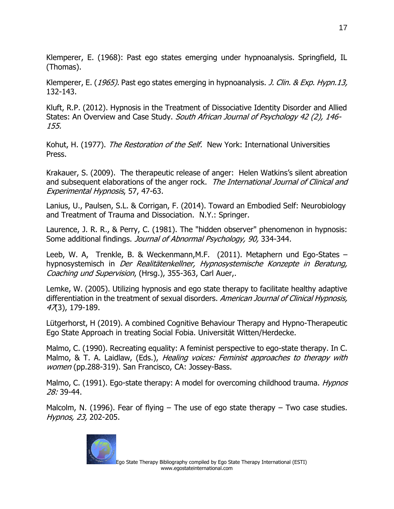Klemperer, E. (1968): Past ego states emerging under hypnoanalysis. Springfield, IL (Thomas).

Klemperer, E. (1965). Past ego states emerging in hypnoanalysis. J. Clin. & Exp. Hypn.13, 132-143.

Kluft, R.P. (2012). Hypnosis in the Treatment of Dissociative Identity Disorder and Allied States: An Overview and Case Study. South African Journal of Psychology 42 (2), 146-155.

Kohut, H. (1977). The Restoration of the Self. New York: International Universities Press.

Krakauer, S. (2009). The therapeutic release of anger: Helen Watkins's silent abreation and subsequent elaborations of the anger rock. The International Journal of Clinical and Experimental Hypnosis, 57, 47-63.

Lanius, U., Paulsen, S.L. & Corrigan, F. (2014). Toward an Embodied Self: Neurobiology and Treatment of Trauma and Dissociation. N.Y.: Springer.

Laurence, J. R. R., & Perry, C. (1981). The "hidden observer" phenomenon in hypnosis: Some additional findings. Journal of Abnormal Psychology, 90, 334-344.

Leeb, W. A, Trenkle, B. & Weckenmann,M.F. (2011). Metaphern und Ego-States – hypnosystemisch in Der Realitätenkellner, Hypnosystemische Konzepte in Beratung, Coaching und Supervision, (Hrsg.), 355-363, Carl Auer,.

Lemke, W. (2005). Utilizing hypnosis and ego state therapy to facilitate healthy adaptive differentiation in the treatment of sexual disorders. American Journal of Clinical Hypnosis, 47(3), 179-189.

Lütgerhorst, H (2019). A combined Cognitive Behaviour Therapy and Hypno-Therapeutic Ego State Approach in treating Social Fobia. Universität Witten/Herdecke.

Malmo, C. (1990). Recreating equality: A feminist perspective to ego-state therapy. In C. Malmo, & T. A. Laidlaw, (Eds.), *Healing voices: Feminist approaches to therapy with* women (pp.288-319). San Francisco, CA: Jossey-Bass.

Malmo, C. (1991). Ego-state therapy: A model for overcoming childhood trauma. *Hypnos* 28: 39-44.

Malcolm, N. (1996). Fear of flying  $-$  The use of ego state therapy  $-$  Two case studies. Hypnos, 23, 202-205.

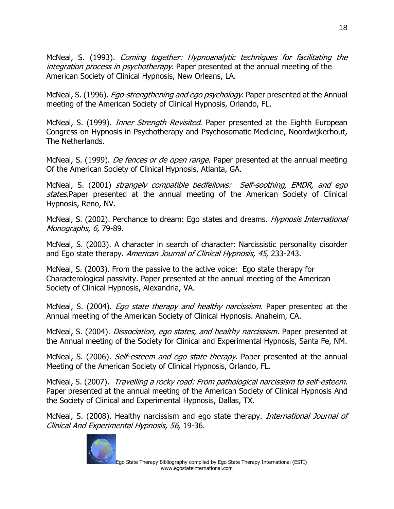McNeal, S. (1993). Coming together: Hypnoanalytic techniques for facilitating the integration process in psychotherapy. Paper presented at the annual meeting of the American Society of Clinical Hypnosis, New Orleans, LA.

McNeal, S. (1996). *Ego-strengthening and ego psychology*. Paper presented at the Annual meeting of the American Society of Clinical Hypnosis, Orlando, FL.

McNeal, S. (1999). *Inner Strength Revisited*. Paper presented at the Eighth European Congress on Hypnosis in Psychotherapy and Psychosomatic Medicine, Noordwijkerhout, The Netherlands.

McNeal, S. (1999). *De fences or de open range.* Paper presented at the annual meeting Of the American Society of Clinical Hypnosis, Atlanta, GA.

McNeal, S. (2001) strangely compatible bedfellows: Self-soothing, EMDR, and ego states.Paper presented at the annual meeting of the American Society of Clinical Hypnosis, Reno, NV.

McNeal, S. (2002). Perchance to dream: Ego states and dreams. *Hypnosis International* Monographs, 6, 79-89.

McNeal, S. (2003). A character in search of character: Narcissistic personality disorder and Ego state therapy. American Journal of Clinical Hypnosis, 45, 233-243.

McNeal, S. (2003). From the passive to the active voice: Ego state therapy for Characterological passivity. Paper presented at the annual meeting of the American Society of Clinical Hypnosis, Alexandria, VA.

McNeal, S. (2004). *Ego state therapy and healthy narcissism*. Paper presented at the Annual meeting of the American Society of Clinical Hypnosis. Anaheim, CA.

McNeal, S. (2004). *Dissociation, ego states, and healthy narcissism*. Paper presented at the Annual meeting of the Society for Clinical and Experimental Hypnosis, Santa Fe, NM.

McNeal, S. (2006). *Self-esteem and ego state therapy.* Paper presented at the annual Meeting of the American Society of Clinical Hypnosis, Orlando, FL.

McNeal, S. (2007). Travelling a rocky road: From pathological narcissism to self-esteem. Paper presented at the annual meeting of the American Society of Clinical Hypnosis And the Society of Clinical and Experimental Hypnosis, Dallas, TX.

McNeal, S. (2008). Healthy narcissism and ego state therapy. *International Journal of* Clinical And Experimental Hypnosis, 56, 19-36.

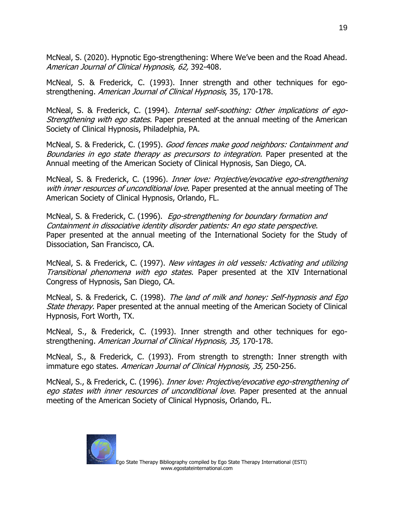McNeal, S. (2020). Hypnotic Ego-strengthening: Where We've been and the Road Ahead. American Journal of Clinical Hypnosis, 62, 392-408.

McNeal, S. & Frederick, C. (1993). Inner strength and other techniques for egostrengthening. American Journal of Clinical Hypnosis, 35, 170-178.

McNeal, S. & Frederick, C. (1994). *Internal self-soothing: Other implications of ego-Strengthening with ego states.* Paper presented at the annual meeting of the American Society of Clinical Hypnosis, Philadelphia, PA.

McNeal, S. & Frederick, C. (1995). Good fences make good neighbors: Containment and Boundaries in ego state therapy as precursors to integration. Paper presented at the Annual meeting of the American Society of Clinical Hypnosis, San Diego, CA.

McNeal, S. & Frederick, C. (1996). Inner love: Projective/evocative ego-strengthening with inner resources of unconditional love. Paper presented at the annual meeting of The American Society of Clinical Hypnosis, Orlando, FL.

McNeal, S. & Frederick, C. (1996). *Ego-strengthening for boundary formation and* Containment in dissociative identity disorder patients: An ego state perspective. Paper presented at the annual meeting of the International Society for the Study of Dissociation, San Francisco, CA.

McNeal, S. & Frederick, C. (1997). New vintages in old vessels: Activating and utilizing Transitional phenomena with ego states. Paper presented at the XIV International Congress of Hypnosis, San Diego, CA.

McNeal, S. & Frederick, C. (1998). The land of milk and honey: Self-hypnosis and Ego State therapy. Paper presented at the annual meeting of the American Society of Clinical Hypnosis, Fort Worth, TX.

McNeal, S., & Frederick, C. (1993). Inner strength and other techniques for egostrengthening. American Journal of Clinical Hypnosis, 35, 170-178.

McNeal, S., & Frederick, C. (1993). From strength to strength: Inner strength with immature ego states. American Journal of Clinical Hypnosis, 35, 250-256.

McNeal, S., & Frederick, C. (1996). *Inner love: Projective/evocative ego-strengthening of* ego states with inner resources of unconditional love. Paper presented at the annual meeting of the American Society of Clinical Hypnosis, Orlando, FL.

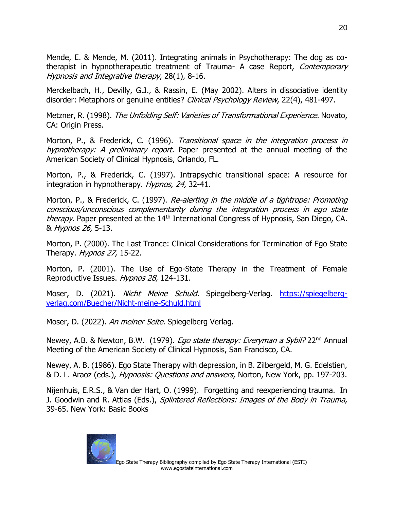Mende, E. & Mende, M. (2011). Integrating animals in Psychotherapy: The dog as cotherapist in hypnotherapeutic treatment of Trauma- A case Report, *Contemporary* Hypnosis and Integrative therapy, 28(1), 8-16.

Merckelbach, H., Devilly, G.J., & Rassin, E. (May 2002). Alters in dissociative identity disorder: Metaphors or genuine entities? Clinical Psychology Review, 22(4), 481-497.

Metzner, R. (1998). The Unfolding Self: Varieties of Transformational Experience. Novato, CA: Origin Press.

Morton, P., & Frederick, C. (1996). Transitional space in the integration process in hypnotherapy: A preliminary report. Paper presented at the annual meeting of the American Society of Clinical Hypnosis, Orlando, FL.

Morton, P., & Frederick, C. (1997). Intrapsychic transitional space: A resource for integration in hypnotherapy. Hypnos, 24, 32-41.

Morton, P., & Frederick, C. (1997). Re-alerting in the middle of a tightrope: Promoting conscious/unconscious complementarity during the integration process in ego state therapy. Paper presented at the 14<sup>th</sup> International Congress of Hypnosis, San Diego, CA. & Hypnos 26, 5-13.

Morton, P. (2000). The Last Trance: Clinical Considerations for Termination of Ego State Therapy. *Hypnos 27*, 15-22.

Morton, P. (2001). The Use of Ego-State Therapy in the Treatment of Female Reproductive Issues. Hypnos 28, 124-131.

Moser, D. (2021). Nicht Meine Schuld. Spiegelberg-Verlag. [https://spiegelberg](https://spiegelberg-verlag.com/Buecher/Nicht-meine-Schuld.html)[verlag.com/Buecher/Nicht-meine-Schuld.html](https://spiegelberg-verlag.com/Buecher/Nicht-meine-Schuld.html)

Moser, D. (2022). An meiner Seite. Spiegelberg Verlag.

Newey, A.B. & Newton, B.W. (1979). *Ego state therapy: Everyman a Sybil?* 22<sup>nd</sup> Annual Meeting of the American Society of Clinical Hypnosis, San Francisco, CA.

Newey, A. B. (1986). Ego State Therapy with depression, in B. Zilbergeld, M. G. Edelstien, & D. L. Araoz (eds.), Hypnosis: Questions and answers, Norton, New York, pp. 197-203.

Nijenhuis, E.R.S., & Van der Hart, O. (1999). Forgetting and reexperiencing trauma. In J. Goodwin and R. Attias (Eds.), Splintered Reflections: Images of the Body in Trauma, 39-65. New York: Basic Books

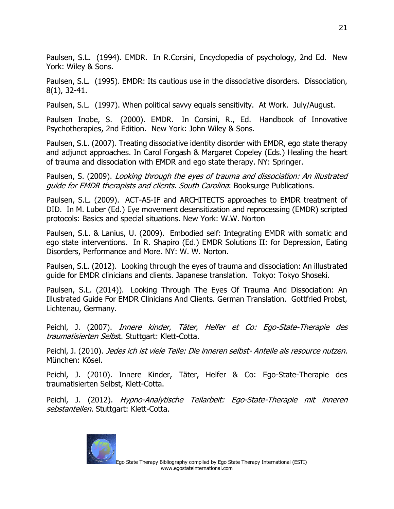Paulsen, S.L. (1994). EMDR. In R.Corsini, Encyclopedia of psychology, 2nd Ed. New York: Wiley & Sons.

Paulsen, S.L. (1995). EMDR: Its cautious use in the dissociative disorders. Dissociation, 8(1), 32-41.

Paulsen, S.L. (1997). When political savvy equals sensitivity. At Work. July/August.

Paulsen Inobe, S. (2000). EMDR. In Corsini, R., Ed. Handbook of Innovative Psychotherapies, 2nd Edition. New York: John Wiley & Sons.

Paulsen, S.L. (2007). Treating dissociative identity disorder with EMDR, ego state therapy and adjunct approaches. In Carol Forgash & Margaret Copeley (Eds.) Healing the heart of trauma and dissociation with EMDR and ego state therapy. NY: Springer.

Paulsen, S. (2009). Looking through the eyes of trauma and dissociation: An illustrated guide for EMDR therapists and clients. South Carolina: Booksurge Publications.

Paulsen, S.L. (2009). ACT-AS-IF and ARCHITECTS approaches to EMDR treatment of DID. In M. Luber (Ed.) Eye movement desensitization and reprocessing (EMDR) scripted protocols: Basics and special situations. New York: W.W. Norton

Paulsen, S.L. & Lanius, U. (2009). Embodied self: Integrating EMDR with somatic and ego state interventions. In R. Shapiro (Ed.) EMDR Solutions II: for Depression, Eating Disorders, Performance and More. NY: W. W. Norton.

Paulsen, S.L. (2012). Looking through the eyes of trauma and dissociation: An illustrated guide for EMDR clinicians and clients. Japanese translation. Tokyo: Tokyo Shoseki.

Paulsen, S.L. (2014)). Looking Through The Eyes Of Trauma And Dissociation: An Illustrated Guide For EMDR Clinicians And Clients. German Translation. Gottfried Probst, Lichtenau, Germany.

Peichl, J. (2007). Innere kinder, Täter, Helfer et Co: Ego-State-Therapie des traumatisierten Selbst. Stuttgart: Klett-Cotta.

Peichl, J. (2010). Jedes ich ist viele Teile: Die inneren selbst- Anteile als resource nutzen. München: Kösel.

Peichl, J. (2010). Innere Kinder, Täter, Helfer & Co: Ego-State-Therapie des traumatisierten Selbst, Klett-Cotta.

Peichl, J. (2012). Hypno-Analytische Teilarbeit: Ego-State-Therapie mit inneren sebstanteilen. Stuttgart: Klett-Cotta.

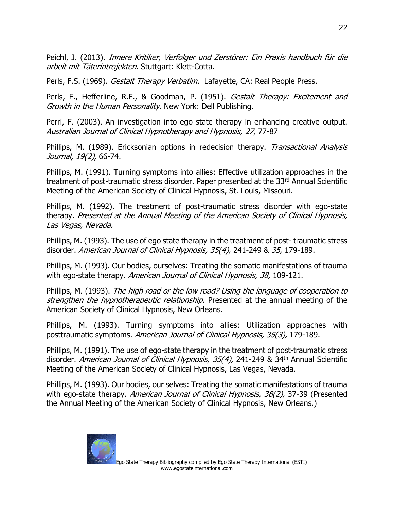Peichl, J. (2013). Innere Kritiker, Verfolger und Zerstörer: Ein Praxis handbuch für die arbeit mit Täterintrojekten. Stuttgart: Klett-Cotta.

Perls, F.S. (1969). Gestalt Therapy Verbatim. Lafayette, CA: Real People Press.

Perls, F., Hefferline, R.F., & Goodman, P. (1951). *Gestalt Therapy: Excitement and* Growth in the Human Personality. New York: Dell Publishing.

Perri, F. (2003). An investigation into ego state therapy in enhancing creative output. Australian Journal of Clinical Hypnotherapy and Hypnosis, 27, 77-87

Phillips, M. (1989). Ericksonian options in redecision therapy. Transactional Analysis Journal, 19(2), 66-74.

Phillips, M. (1991). Turning symptoms into allies: Effective utilization approaches in the treatment of post-traumatic stress disorder. Paper presented at the 33<sup>rd</sup> Annual Scientific Meeting of the American Society of Clinical Hypnosis, St. Louis, Missouri.

Phillips, M. (1992). The treatment of post-traumatic stress disorder with ego-state therapy. Presented at the Annual Meeting of the American Society of Clinical Hypnosis, Las Vegas, Nevada.

Phillips, M. (1993). The use of ego state therapy in the treatment of post- traumatic stress disorder. American Journal of Clinical Hypnosis, 35(4), 241-249 & 35, 179-189.

Phillips, M. (1993). Our bodies, ourselves: Treating the somatic manifestations of trauma with ego-state therapy. American Journal of Clinical Hypnosis, 38, 109-121.

Phillips, M. (1993). The high road or the low road? Using the language of cooperation to strengthen the hypnotherapeutic relationship. Presented at the annual meeting of the American Society of Clinical Hypnosis, New Orleans.

Phillips, M. (1993). Turning symptoms into allies: Utilization approaches with posttraumatic symptoms. American Journal of Clinical Hypnosis, 35(3), 179-189.

Phillips, M. (1991). The use of ego-state therapy in the treatment of post-traumatic stress disorder. American Journal of Clinical Hypnosis, 35(4), 241-249 & 34<sup>th</sup> Annual Scientific Meeting of the American Society of Clinical Hypnosis, Las Vegas, Nevada.

Phillips, M. (1993). Our bodies, our selves: Treating the somatic manifestations of trauma with ego-state therapy. American Journal of Clinical Hypnosis, 38(2), 37-39 (Presented the Annual Meeting of the American Society of Clinical Hypnosis, New Orleans.)

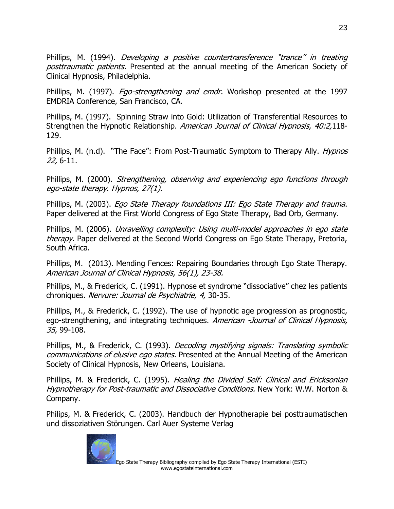Phillips, M. (1994). Developing a positive countertransference "trance" in treating posttraumatic patients. Presented at the annual meeting of the American Society of Clinical Hypnosis, Philadelphia.

Phillips, M. (1997). *Ego-strengthening and emdr.* Workshop presented at the 1997 EMDRIA Conference, San Francisco, CA.

Phillips, M. (1997). Spinning Straw into Gold: Utilization of Transferential Resources to Strengthen the Hypnotic Relationship. American Journal of Clinical Hypnosis, 40:2,118-129.

Phillips, M. (n.d). "The Face": From Post-Traumatic Symptom to Therapy Ally. *Hypnos* 22, 6-11.

Phillips, M. (2000). Strengthening, observing and experiencing ego functions through ego-state therapy. Hypnos, 27(1).

Phillips, M. (2003). Ego State Therapy foundations III: Ego State Therapy and trauma. Paper delivered at the First World Congress of Ego State Therapy, Bad Orb, Germany.

Phillips, M. (2006). Unravelling complexity: Using multi-model approaches in ego state therapy. Paper delivered at the Second World Congress on Ego State Therapy, Pretoria, South Africa.

Phillips, M. (2013). Mending Fences: Repairing Boundaries through Ego State Therapy. American Journal of Clinical Hypnosis, 56(1), 23-38.

Phillips, M., & Frederick, C. (1991). Hypnose et syndrome "dissociative" chez les patients chroniques. Nervure: Journal de Psychiatrie, 4, 30-35.

Phillips, M., & Frederick, C. (1992). The use of hypnotic age progression as prognostic, ego-strengthening, and integrating techniques. American -Journal of Clinical Hypnosis, 35, 99-108.

Phillips, M., & Frederick, C. (1993). *Decoding mystifying signals: Translating symbolic* communications of elusive ego states. Presented at the Annual Meeting of the American Society of Clinical Hypnosis, New Orleans, Louisiana.

Phillips, M. & Frederick, C. (1995). Healing the Divided Self: Clinical and Ericksonian Hypnotherapy for Post-traumatic and Dissociative Conditions. New York: W.W. Norton & Company.

Philips, M. & Frederick, C. (2003). Handbuch der Hypnotherapie bei posttraumatischen und dissoziativen Störungen. Carl Auer Systeme Verlag

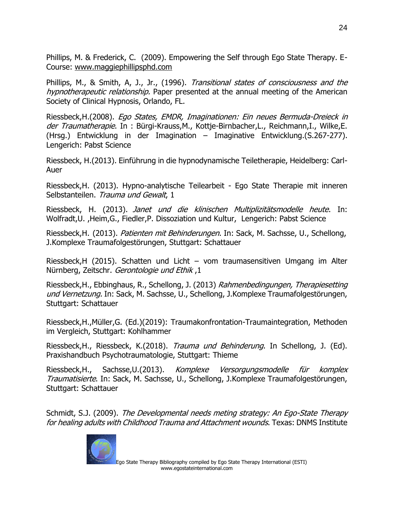Phillips, M. & Frederick, C. (2009). Empowering the Self through Ego State Therapy. E-Course: [www.maggiephillipsphd.com](http://www.egostatetherapie.ch/www.maggiephillipsphd.com)

Phillips, M., & Smith, A, J., Jr., (1996). Transitional states of consciousness and the hypnotherapeutic relationship. Paper presented at the annual meeting of the American Society of Clinical Hypnosis, Orlando, FL.

Riessbeck,H.(2008). Ego States, EMDR, Imaginationen: Ein neues Bermuda-Dreieck in der Traumatherapie. In : Bürgi-Krauss, M., Kottje-Birnbacher, L., Reichmann, I., Wilke, E. (Hrsg.) Entwicklung in der Imagination – Imaginative Entwicklung.(S.267-277). Lengerich: Pabst Science

Riessbeck, H.(2013). Einführung in die hypnodynamische Teiletherapie, Heidelberg: Carl-Auer

Riessbeck,H. (2013). Hypno-analytische Teilearbeit - Ego State Therapie mit inneren Selbstanteilen. Trauma und Gewalt, 1

Riessbeck, H. (2013). Janet und die klinischen Multiplizitätsmodelle heute. In: Wolfradt,U. ,Heim,G., Fiedler,P. Dissoziation und Kultur, Lengerich: Pabst Science

Riessbeck, H. (2013). Patienten mit Behinderungen. In: Sack, M. Sachsse, U., Schellong, J.Komplexe Traumafolgestörungen, Stuttgart: Schattauer

Riessbeck,H (2015). Schatten und Licht – vom traumasensitiven Umgang im Alter Nürnberg, Zeitschr. Gerontologie und Ethik ,1

Riessbeck,H., Ebbinghaus, R., Schellong, J. (2013) Rahmenbedingungen, Therapiesetting und Vernetzung. In: Sack, M. Sachsse, U., Schellong, J.Komplexe Traumafolgestörungen, Stuttgart: Schattauer

Riessbeck,H.,Müller,G. (Ed.)(2019): Traumakonfrontation-Traumaintegration, Methoden im Vergleich, Stuttgart: Kohlhammer

Riessbeck, H., Riessbeck, K.(2018). Trauma und Behinderung. In Schellong, J. (Ed). Praxishandbuch Psychotraumatologie, Stuttgart: Thieme

Riessbeck,H., Sachsse,U.(2013). Komplexe Versorgungsmodelle für komplex Traumatisierte. In: Sack, M. Sachsse, U., Schellong, J.Komplexe Traumafolgestörungen, Stuttgart: Schattauer

Schmidt, S.J. (2009). The Developmental needs meting strategy: An Ego-State Therapy for healing adults with Childhood Trauma and Attachment wounds. Texas: DNMS Institute

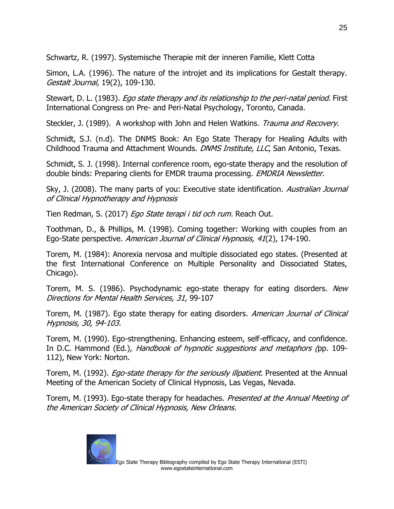Schwartz, R. (1997). Systemische Therapie mit der inneren Familie, Klett Cotta

Simon, L.A. (1996). The nature of the introjet and its implications for Gestalt therapy. Gestalt Journal, 19(2), 109-130.

Stewart, D. L. (1983). *Ego state therapy and its relationship to the peri-natal period.* First International Congress on Pre- and Peri-Natal Psychology, Toronto, Canada.

Steckler, J. (1989). A workshop with John and Helen Watkins. Trauma and Recovery.

Schmidt, S.J. (n.d). The DNMS Book: An Ego State Therapy for Healing Adults with Childhood Trauma and Attachment Wounds. DNMS Institute, LLC, San Antonio, Texas.

Schmidt, S. J. (1998). Internal conference room, ego-state therapy and the resolution of double binds: Preparing clients for EMDR trauma processing. *EMDRIA Newsletter.* 

Sky, J. (2008). The many parts of you: Executive state identification. Australian Journal of Clinical Hypnotherapy and Hypnosis

Tien Redman, S. (2017) Ego State terapi i tid och rum. Reach Out.

Toothman, D., & Phillips, M. (1998). Coming together: Working with couples from an Ego-State perspective. American Journal of Clinical Hypnosis, 41(2), 174-190.

Torem, M. (1984): Anorexia nervosa and multiple dissociated ego states. (Presented at the first International Conference on Multiple Personality and Dissociated States, Chicago).

Torem, M. S. (1986). Psychodynamic ego-state therapy for eating disorders. New Directions for Mental Health Services, 31, 99-107

Torem, M. (1987). Ego state therapy for eating disorders. American Journal of Clinical Hypnosis, 30, 94-103.

Torem, M. (1990). Ego-strengthening. Enhancing esteem, self-efficacy, and confidence. In D.C. Hammond (Ed.), *Handbook of hypnotic suggestions and metaphors (*pp. 109-112), New York: Norton.

Torem, M. (1992). *Ego-state therapy for the seriously illpatient*. Presented at the Annual Meeting of the American Society of Clinical Hypnosis, Las Vegas, Nevada.

Torem, M. (1993). Ego-state therapy for headaches. *Presented at the Annual Meeting of* the American Society of Clinical Hypnosis, New Orleans.

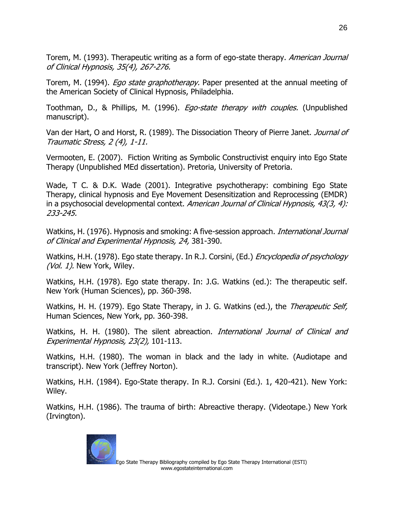Torem, M. (1993). Therapeutic writing as a form of ego-state therapy. *American Journal* of Clinical Hypnosis, 35(4), 267-276.

Torem, M. (1994). *Ego state graphotherapy.* Paper presented at the annual meeting of the American Society of Clinical Hypnosis, Philadelphia.

Toothman, D., & Phillips, M. (1996). *Ego-state therapy with couples.* (Unpublished manuscript).

Van der Hart, O and Horst, R. (1989). The Dissociation Theory of Pierre Janet. Journal of Traumatic Stress, 2 (4), 1-11.

Vermooten, E. (2007). Fiction Writing as Symbolic Constructivist enquiry into Ego State Therapy (Unpublished MEd dissertation). Pretoria, University of Pretoria.

Wade, T C. & D.K. Wade (2001). Integrative psychotherapy: combining Ego State Therapy, clinical hypnosis and Eye Movement Desensitization and Reprocessing (EMDR) in a psychosocial developmental context. American Journal of Clinical Hypnosis, 43(3, 4): 233-245.

Watkins, H. (1976). Hypnosis and smoking: A five-session approach. *International Journal* of Clinical and Experimental Hypnosis, 24, 381-390.

Watkins, H.H. (1978). Ego state therapy. In R.J. Corsini, (Ed.) *Encyclopedia of psychology* (Vol. 1). New York, Wiley.

Watkins, H.H. (1978). Ego state therapy. In: J.G. Watkins (ed.): The therapeutic self. New York (Human Sciences), pp. 360-398.

Watkins, H. H. (1979). Ego State Therapy, in J. G. Watkins (ed.), the *Therapeutic Self,* Human Sciences, New York, pp. 360-398.

Watkins, H. H. (1980). The silent abreaction. *International Journal of Clinical and* Experimental Hypnosis, 23(2), 101-113.

Watkins, H.H. (1980). The woman in black and the lady in white. (Audiotape and transcript). New York (Jeffrey Norton).

Watkins, H.H. (1984). Ego-State therapy. In R.J. Corsini (Ed.). 1, 420-421). New York: Wiley.

Watkins, H.H. (1986). The trauma of birth: Abreactive therapy. (Videotape.) New York (Irvington).

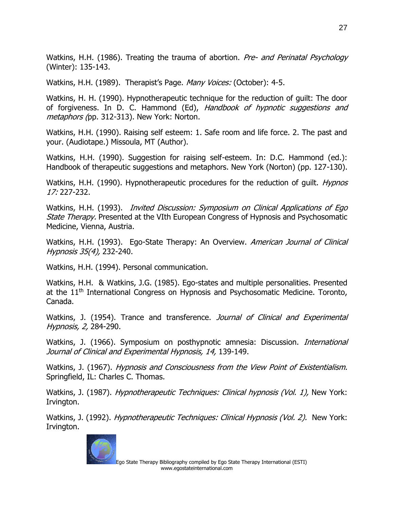Watkins, H.H. (1986). Treating the trauma of abortion. *Pre- and Perinatal Psychology* (Winter): 135-143.

Watkins, H.H. (1989). Therapist's Page. Many Voices: (October): 4-5.

Watkins, H. H. (1990). Hypnotherapeutic technique for the reduction of guilt: The door of forgiveness. In D. C. Hammond (Ed), Handbook of hypnotic suggestions and metaphors (pp. 312-313). New York: Norton.

Watkins, H.H. (1990). Raising self esteem: 1. Safe room and life force. 2. The past and your. (Audiotape.) Missoula, MT (Author).

Watkins, H.H. (1990). Suggestion for raising self-esteem. In: D.C. Hammond (ed.): Handbook of therapeutic suggestions and metaphors. New York (Norton) (pp. 127-130).

Watkins, H.H. (1990). Hypnotherapeutic procedures for the reduction of quilt. *Hypnos* 17: 227-232.

Watkins, H.H. (1993). *Invited Discussion: Symposium on Clinical Applications of Ego* State Therapy. Presented at the VIth European Congress of Hypnosis and Psychosomatic Medicine, Vienna, Austria.

Watkins, H.H. (1993). Ego-State Therapy: An Overview. American Journal of Clinical Hypnosis 35(4), 232-240.

Watkins, H.H. (1994). Personal communication.

Watkins, H.H. & Watkins, J.G. (1985). Ego-states and multiple personalities. Presented at the 11<sup>th</sup> International Congress on Hypnosis and Psychosomatic Medicine. Toronto, Canada.

Watkins, J. (1954). Trance and transference. Journal of Clinical and Experimental Hypnosis, 2, 284-290.

Watkins, J. (1966). Symposium on posthypnotic amnesia: Discussion. *International* Journal of Clinical and Experimental Hypnosis, 14, 139-149.

Watkins, J. (1967). Hypnosis and Consciousness from the View Point of Existentialism. Springfield, IL: Charles C. Thomas.

Watkins, J. (1987). Hypnotherapeutic Techniques: Clinical hypnosis (Vol. 1), New York: Irvington.

Watkins, J. (1992). Hypnotherapeutic Techniques: Clinical Hypnosis (Vol. 2). New York: Irvington.

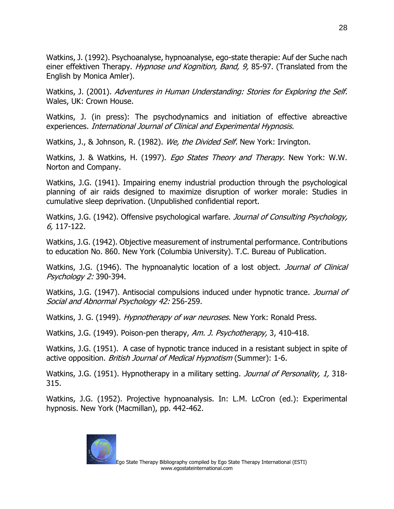Watkins, J. (1992). Psychoanalyse, hypnoanalyse, ego-state therapie: Auf der Suche nach einer effektiven Therapy. Hypnose und Kognition, Band, 9, 85-97. (Translated from the English by Monica Amler).

Watkins, J. (2001). Adventures in Human Understanding: Stories for Exploring the Self. Wales, UK: Crown House.

Watkins, J. (in press): The psychodynamics and initiation of effective abreactive experiences. International Journal of Clinical and Experimental Hypnosis.

Watkins, J., & Johnson, R. (1982). We, the Divided Self. New York: Irvington.

Watkins, J. & Watkins, H. (1997). *Ego States Theory and Therapy.* New York: W.W. Norton and Company.

Watkins, J.G. (1941). Impairing enemy industrial production through the psychological planning of air raids designed to maximize disruption of worker morale: Studies in cumulative sleep deprivation. (Unpublished confidential report.

Watkins, J.G. (1942). Offensive psychological warfare. *Journal of Consulting Psychology*, 6, 117-122.

Watkins, J.G. (1942). Objective measurement of instrumental performance. Contributions to education No. 860. New York (Columbia University). T.C. Bureau of Publication.

Watkins, J.G. (1946). The hypnoanalytic location of a lost object. *Journal of Clinical* Psychology 2: 390-394.

Watkins, J.G. (1947). Antisocial compulsions induced under hypnotic trance. *Journal of* Social and Abnormal Psychology 42: 256-259.

Watkins, J. G. (1949). *Hypnotherapy of war neuroses.* New York: Ronald Press.

Watkins, J.G. (1949). Poison-pen therapy, Am. J. Psychotherapy, 3, 410-418.

Watkins, J.G. (1951). A case of hypnotic trance induced in a resistant subject in spite of active opposition. British Journal of Medical Hypnotism (Summer): 1-6.

Watkins, J.G. (1951). Hypnotherapy in a military setting. *Journal of Personality, 1*, 318-315.

Watkins, J.G. (1952). Projective hypnoanalysis. In: L.M. LcCron (ed.): Experimental hypnosis. New York (Macmillan), pp. 442-462.

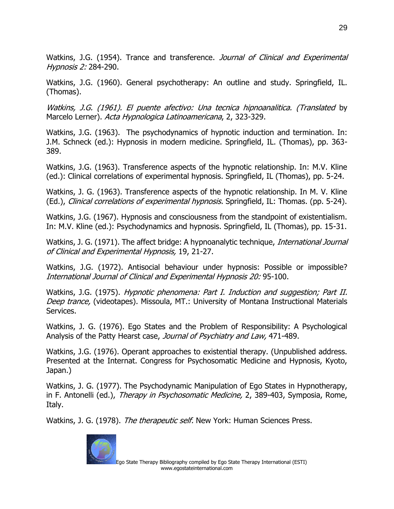Watkins, J.G. (1954). Trance and transference. Journal of Clinical and Experimental Hypnosis 2: 284-290.

Watkins, J.G. (1960). General psychotherapy: An outline and study. Springfield, IL. (Thomas).

Watkins, J.G. (1961). El puente afectivo: Una tecnica hipnoanalitica. (Translated by Marcelo Lerner). Acta Hypnologica Latinoamericana, 2, 323-329.

Watkins, J.G. (1963). The psychodynamics of hypnotic induction and termination. In: J.M. Schneck (ed.): Hypnosis in modern medicine. Springfield, IL. (Thomas), pp. 363- 389.

Watkins, J.G. (1963). Transference aspects of the hypnotic relationship. In: M.V. Kline (ed.): Clinical correlations of experimental hypnosis. Springfield, IL (Thomas), pp. 5-24.

Watkins, J. G. (1963). Transference aspects of the hypnotic relationship. In M. V. Kline (Ed.), Clinical correlations of experimental hypnosis. Springfield, IL: Thomas. (pp. 5-24).

Watkins, J.G. (1967). Hypnosis and consciousness from the standpoint of existentialism. In: M.V. Kline (ed.): Psychodynamics and hypnosis. Springfield, IL (Thomas), pp. 15-31.

Watkins, J. G. (1971). The affect bridge: A hypnoanalytic technique, *International Journal* of Clinical and Experimental Hypnosis, 19, 21-27.

Watkins, J.G. (1972). Antisocial behaviour under hypnosis: Possible or impossible? International Journal of Clinical and Experimental Hypnosis 20: 95-100.

Watkins, J.G. (1975). *Hypnotic phenomena: Part I. Induction and suggestion; Part II.* Deep trance, (videotapes). Missoula, MT.: University of Montana Instructional Materials Services.

Watkins, J. G. (1976). Ego States and the Problem of Responsibility: A Psychological Analysis of the Patty Hearst case, Journal of Psychiatry and Law, 471-489.

Watkins, J.G. (1976). Operant approaches to existential therapy. (Unpublished address. Presented at the Internat. Congress for Psychosomatic Medicine and Hypnosis, Kyoto, Japan.)

Watkins, J. G. (1977). The Psychodynamic Manipulation of Ego States in Hypnotherapy, in F. Antonelli (ed.), *Therapy in Psychosomatic Medicine,* 2, 389-403, Symposia, Rome, Italy.

Watkins, J. G. (1978). The therapeutic self. New York: Human Sciences Press.

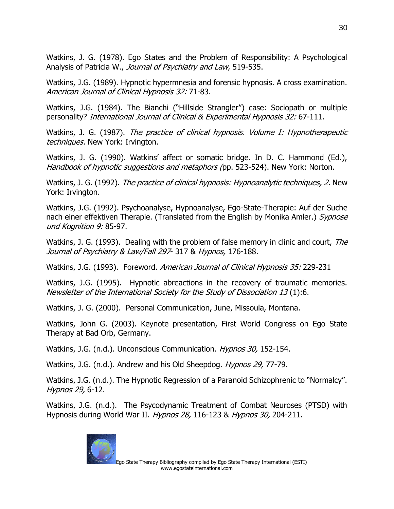Watkins, J. G. (1978). Ego States and the Problem of Responsibility: A Psychological Analysis of Patricia W., Journal of Psychiatry and Law, 519-535.

Watkins, J.G. (1989). Hypnotic hypermnesia and forensic hypnosis. A cross examination. American Journal of Clinical Hypnosis 32: 71-83.

Watkins, J.G. (1984). The Bianchi ("Hillside Strangler") case: Sociopath or multiple personality? International Journal of Clinical & Experimental Hypnosis 32: 67-111.

Watkins, J. G. (1987). The practice of clinical hypnosis. Volume I: Hypnotherapeutic techniques. New York: Irvington.

Watkins, J. G. (1990). Watkins' affect or somatic bridge. In D. C. Hammond (Ed.), Handbook of hypnotic suggestions and metaphors (pp. 523-524). New York: Norton.

Watkins, J. G. (1992). *The practice of clinical hypnosis: Hypnoanalytic techniques, 2.* New York: Irvington.

Watkins, J.G. (1992). Psychoanalyse, Hypnoanalyse, Ego-State-Therapie: Auf der Suche nach einer effektiven Therapie. (Translated from the English by Monika Amler.) Sypnose und Kognition 9: 85-97.

Watkins, J. G. (1993). Dealing with the problem of false memory in clinic and court, *The* Journal of Psychiatry & Law/Fall 297-317 & Hypnos, 176-188.

Watkins, J.G. (1993). Foreword. American Journal of Clinical Hypnosis 35: 229-231

Watkins, J.G. (1995). Hypnotic abreactions in the recovery of traumatic memories. Newsletter of the International Society for the Study of Dissociation 13 (1):6.

Watkins, J. G. (2000). Personal Communication, June, Missoula, Montana.

Watkins, John G. (2003). Keynote presentation, First World Congress on Ego State Therapy at Bad Orb, Germany.

Watkins, J.G. (n.d.). Unconscious Communication. Hypnos 30, 152-154.

Watkins, J.G. (n.d.). Andrew and his Old Sheepdog. Hypnos 29, 77-79.

Watkins, J.G. (n.d.). The Hypnotic Regression of a Paranoid Schizophrenic to "Normalcy". Hypnos 29, 6-12.

Watkins, J.G. (n.d.). The Psycodynamic Treatment of Combat Neuroses (PTSD) with Hypnosis during World War II. Hypnos 28, 116-123 & Hypnos 30, 204-211.

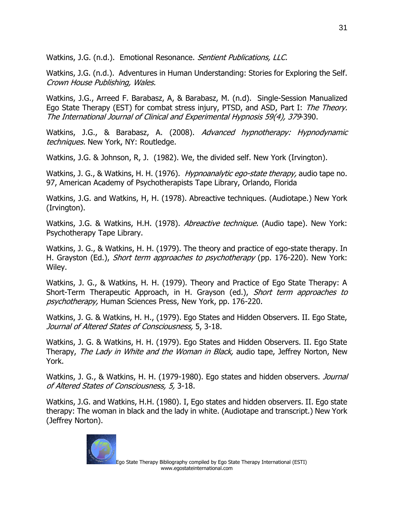Watkins, J.G. (n.d.). Emotional Resonance. Sentient Publications, LLC.

Watkins, J.G. (n.d.). Adventures in Human Understanding: Stories for Exploring the Self. Crown House Publishing, Wales.

Watkins, J.G., Arreed F. Barabasz, A, & Barabasz, M. (n.d). Single-Session Manualized Ego State Therapy (EST) for combat stress injury, PTSD, and ASD, Part I: The Theory. The International Journal of Clinical and Experimental Hypnosis 59(4), 379-390.

Watkins, J.G., & Barabasz, A. (2008). Advanced hypnotherapy: Hypnodynamic techniques. New York, NY: Routledge.

Watkins, J.G. & Johnson, R, J. (1982). We, the divided self. New York (Irvington).

Watkins, J. G., & Watkins, H. H. (1976). *Hypnoanalytic ego-state therapy*, audio tape no. 97, American Academy of Psychotherapists Tape Library, Orlando, Florida

Watkins, J.G. and Watkins, H, H. (1978). Abreactive techniques. (Audiotape.) New York (Irvington).

Watkins, J.G. & Watkins, H.H. (1978). Abreactive technique. (Audio tape). New York: Psychotherapy Tape Library.

Watkins, J. G., & Watkins, H. H. (1979). The theory and practice of ego-state therapy. In H. Grayston (Ed.), Short term approaches to psychotherapy (pp. 176-220). New York: Wiley.

Watkins, J. G., & Watkins, H. H. (1979). Theory and Practice of Ego State Therapy: A Short-Term Therapeutic Approach, in H. Grayson (ed.), Short term approaches to psychotherapy, Human Sciences Press, New York, pp. 176-220.

Watkins, J. G. & Watkins, H. H., (1979). Ego States and Hidden Observers. II. Ego State, Journal of Altered States of Consciousness, 5, 3-18.

Watkins, J. G. & Watkins, H. H. (1979). Ego States and Hidden Observers. II. Ego State Therapy, *The Lady in White and the Woman in Black*, audio tape, Jeffrey Norton, New York.

Watkins, J. G., & Watkins, H. H. (1979-1980). Ego states and hidden observers. *Journal* of Altered States of Consciousness, 5, 3-18.

Watkins, J.G. and Watkins, H.H. (1980). I, Ego states and hidden observers. II. Ego state therapy: The woman in black and the lady in white. (Audiotape and transcript.) New York (Jeffrey Norton).

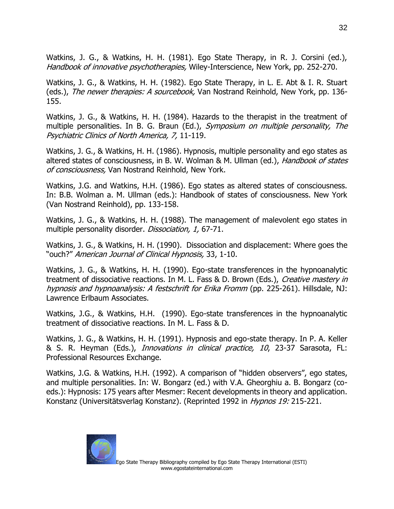Watkins, J. G., & Watkins, H. H. (1981). Ego State Therapy, in R. J. Corsini (ed.), Handbook of innovative psychotherapies, Wiley-Interscience, New York, pp. 252-270.

Watkins, J. G., & Watkins, H. H. (1982). Ego State Therapy, in L. E. Abt & I. R. Stuart (eds.), The newer therapies: A sourcebook, Van Nostrand Reinhold, New York, pp. 136-155.

Watkins, J. G., & Watkins, H. H. (1984). Hazards to the therapist in the treatment of multiple personalities. In B. G. Braun (Ed.), Symposium on multiple personality, The Psychiatric Clinics of North America, 7, 11-119.

Watkins, J. G., & Watkins, H. H. (1986). Hypnosis, multiple personality and ego states as altered states of consciousness, in B. W. Wolman & M. Ullman (ed.), *Handbook of states* of consciousness, Van Nostrand Reinhold, New York.

Watkins, J.G. and Watkins, H.H. (1986). Ego states as altered states of consciousness. In: B.B. Wolman a. M. Ullman (eds.): Handbook of states of consciousness. New York (Van Nostrand Reinhold), pp. 133-158.

Watkins, J. G., & Watkins, H. H. (1988). The management of malevolent ego states in multiple personality disorder. Dissociation, 1, 67-71.

Watkins, J. G., & Watkins, H. H. (1990). Dissociation and displacement: Where goes the "ouch?" American Journal of Clinical Hypnosis, 33, 1-10.

Watkins, J. G., & Watkins, H. H. (1990). Ego-state transferences in the hypnoanalytic treatment of dissociative reactions. In M. L. Fass & D. Brown (Eds.), Creative mastery in hypnosis and hypnoanalysis: A festschrift for Erika Fromm (pp. 225-261). Hillsdale, NJ: Lawrence Erlbaum Associates.

Watkins, J.G., & Watkins, H.H. (1990). Ego-state transferences in the hypnoanalytic treatment of dissociative reactions. In M. L. Fass & D.

Watkins, J. G., & Watkins, H. H. (1991). Hypnosis and ego-state therapy. In P. A. Keller & S. R. Heyman (Eds.), Innovations in clinical practice, 10, 23-37 Sarasota, FL: Professional Resources Exchange.

Watkins, J.G. & Watkins, H.H. (1992). A comparison of "hidden observers", ego states, and multiple personalities. In: W. Bongarz (ed.) with V.A. Gheorghiu a. B. Bongarz (coeds.): Hypnosis: 175 years after Mesmer: Recent developments in theory and application. Konstanz (Universitätsverlag Konstanz). (Reprinted 1992 in Hypnos 19: 215-221.

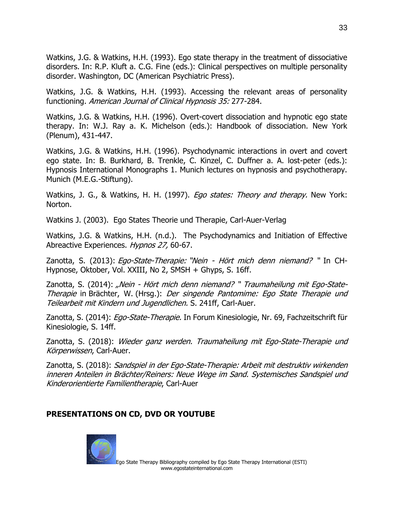Watkins, J.G. & Watkins, H.H. (1993). Ego state therapy in the treatment of dissociative disorders. In: R.P. Kluft a. C.G. Fine (eds.): Clinical perspectives on multiple personality disorder. Washington, DC (American Psychiatric Press).

Watkins, J.G. & Watkins, H.H. (1993). Accessing the relevant areas of personality functioning. American Journal of Clinical Hypnosis 35: 277-284.

Watkins, J.G. & Watkins, H.H. (1996). Overt-covert dissociation and hypnotic ego state therapy. In: W.J. Ray a. K. Michelson (eds.): Handbook of dissociation. New York (Plenum), 431-447.

Watkins, J.G. & Watkins, H.H. (1996). Psychodynamic interactions in overt and covert ego state. In: B. Burkhard, B. Trenkle, C. Kinzel, C. Duffner a. A. lost-peter (eds.): Hypnosis International Monographs 1. Munich lectures on hypnosis and psychotherapy. Munich (M.E.G.-Stiftung).

Watkins, J. G., & Watkins, H. H. (1997). *Ego states: Theory and therapy.* New York: Norton.

Watkins J. (2003). Ego States Theorie und Therapie, Carl-Auer-Verlag

Watkins, J.G. & Watkins, H.H. (n.d.). The Psychodynamics and Initiation of Effective Abreactive Experiences. Hypnos 27, 60-67.

Zanotta, S. (2013): Ego-State-Therapie: "Nein - Hört mich denn niemand? " In CH-Hypnose, Oktober, Vol. XXIII, No 2, SMSH + Ghyps, S. 16ff.

Zanotta, S. (2014): "Nein - Hört mich denn niemand? " Traumaheilung mit Ego-State-Therapie in Brächter, W. (Hrsg.): Der singende Pantomime: Ego State Therapie und Teilearbeit mit Kindern und Jugendlichen. S. 241ff, Carl-Auer.

Zanotta, S. (2014): *Ego-State-Therapie.* In Forum Kinesiologie, Nr. 69, Fachzeitschrift für Kinesiologie, S. 14ff.

Zanotta, S. (2018): Wieder ganz werden. Traumaheilung mit Ego-State-Therapie und Körperwissen, Carl-Auer.

Zanotta, S. (2018): Sandspiel in der Ego-State-Therapie: Arbeit mit destruktiv wirkenden inneren Anteilen in Brächter/Reiners: Neue Wege im Sand. Systemisches Sandspiel und Kinderorientierte Familientherapie, Carl-Auer

## **PRESENTATIONS ON CD, DVD OR YOUTUBE**

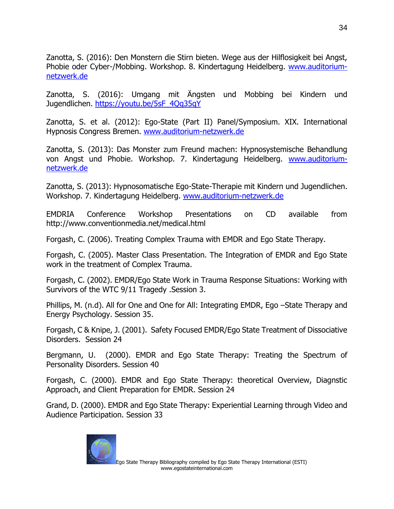Zanotta, S. (2016): Den Monstern die Stirn bieten. Wege aus der Hilflosigkeit bei Angst, Phobie oder Cyber-/Mobbing. Workshop. 8. Kindertagung Heidelberg. [www.auditorium](http://www.auditorium-netzwerk.de/)[netzwerk.de](http://www.auditorium-netzwerk.de/)

Zanotta, S. (2016): Umgang mit Ängsten und Mobbing bei Kindern und Jugendlichen. [https://youtu.be/5sF\\_4Qq35qY](https://youtu.be/5sF_4Qq35qY)

Zanotta, S. et al. (2012): Ego-State (Part II) Panel/Symposium. XIX. International Hypnosis Congress Bremen. [www.auditorium-netzwerk.de](http://www.auditorium-netzwerk.de/)

Zanotta, S. (2013): Das Monster zum Freund machen: Hypnosystemische Behandlung von Angst und Phobie. Workshop. 7. Kindertagung Heidelberg. [www.auditorium](http://www.auditorium-netzwerk.de/)[netzwerk.de](http://www.auditorium-netzwerk.de/)

Zanotta, S. (2013): Hypnosomatische Ego-State-Therapie mit Kindern und Jugendlichen. Workshop. 7. Kindertagung Heidelberg. [www.auditorium-netzwerk.de](http://www.auditorium-netzwerk.de/)

EMDRIA Conference Workshop Presentations on CD available from <http://www.conventionmedia.net/medical.html>

Forgash, C. (2006). Treating Complex Trauma with EMDR and Ego State Therapy.

Forgash, C. (2005). Master Class Presentation. The Integration of EMDR and Ego State work in the treatment of Complex Trauma.

Forgash, C. (2002). EMDR/Ego State Work in Trauma Response Situations: Working with Survivors of the WTC 9/11 Tragedy .Session 3.

Phillips, M. (n.d). All for One and One for All: Integrating EMDR, Ego –State Therapy and Energy Psychology. Session 35.

Forgash, C & Knipe, J. (2001). Safety Focused EMDR/Ego State Treatment of Dissociative Disorders. Session 24

Bergmann, U. (2000). EMDR and Ego State Therapy: Treating the Spectrum of Personality Disorders. Session 40

Forgash, C. (2000). EMDR and Ego State Therapy: theoretical Overview, Diagnstic Approach, and Client Preparation for EMDR. Session 24

Grand, D. (2000). EMDR and Ego State Therapy: Experiential Learning through Video and Audience Participation. Session 33